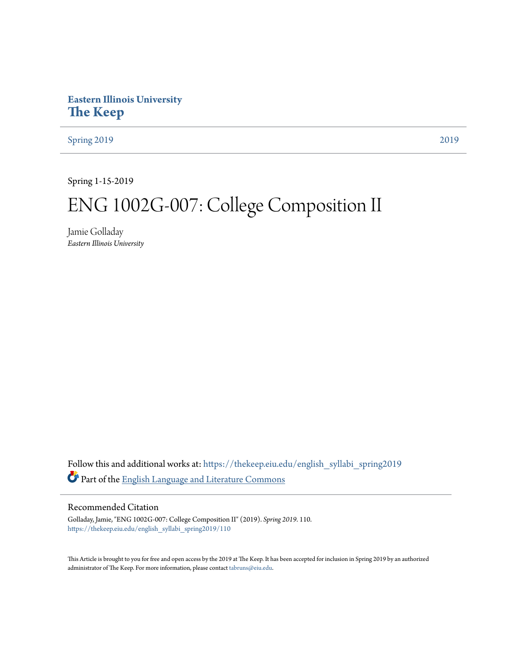# **Eastern Illinois University [The Keep](https://thekeep.eiu.edu?utm_source=thekeep.eiu.edu%2Fenglish_syllabi_spring2019%2F110&utm_medium=PDF&utm_campaign=PDFCoverPages)**

[Spring 2019](https://thekeep.eiu.edu/english_syllabi_spring2019?utm_source=thekeep.eiu.edu%2Fenglish_syllabi_spring2019%2F110&utm_medium=PDF&utm_campaign=PDFCoverPages) [2019](https://thekeep.eiu.edu/english_syllabi2019?utm_source=thekeep.eiu.edu%2Fenglish_syllabi_spring2019%2F110&utm_medium=PDF&utm_campaign=PDFCoverPages)

Spring 1-15-2019

# ENG 1002G-007: College Composition II

Jamie Golladay *Eastern Illinois University*

Follow this and additional works at: [https://thekeep.eiu.edu/english\\_syllabi\\_spring2019](https://thekeep.eiu.edu/english_syllabi_spring2019?utm_source=thekeep.eiu.edu%2Fenglish_syllabi_spring2019%2F110&utm_medium=PDF&utm_campaign=PDFCoverPages) Part of the [English Language and Literature Commons](http://network.bepress.com/hgg/discipline/455?utm_source=thekeep.eiu.edu%2Fenglish_syllabi_spring2019%2F110&utm_medium=PDF&utm_campaign=PDFCoverPages)

#### Recommended Citation

Golladay, Jamie, "ENG 1002G-007: College Composition II" (2019). *Spring 2019*. 110. [https://thekeep.eiu.edu/english\\_syllabi\\_spring2019/110](https://thekeep.eiu.edu/english_syllabi_spring2019/110?utm_source=thekeep.eiu.edu%2Fenglish_syllabi_spring2019%2F110&utm_medium=PDF&utm_campaign=PDFCoverPages)

This Article is brought to you for free and open access by the 2019 at The Keep. It has been accepted for inclusion in Spring 2019 by an authorized administrator of The Keep. For more information, please contact [tabruns@eiu.edu.](mailto:tabruns@eiu.edu)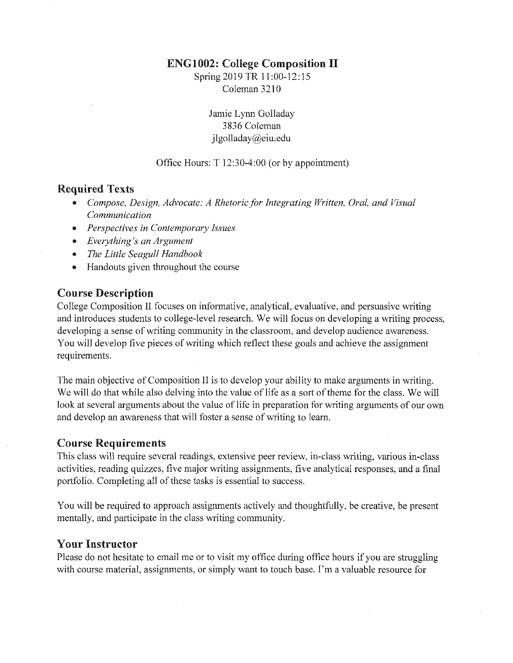# ENG1002: College Composition II

Spring 2019 TR 11:00-12:15 Coleman 3210

> Jamie Lynn Golladay 3836 Coleman jlgolladay@eiu.edu

## Office Hours: T 12:30-4:00 (or by appointment)

# Required Texts

- *Compose, Design, Advocate: A Rhetoric.for Integrating Written, Oral, and Visual Communication*
- *Perspectives in Contemporary Issues*
- *Everything 's an Argument*
- *The Little Seagull Handbook*
- Handouts given throughout the course

# Course Description

College Composition II focuses on informative, analytical, evaluative, and persuasive writing and introduces students to college-level research. We will focus on developing a writing process, developing a sense of writing community in the classroom, and develop audience awareness. You will develop five pieces of writing which reflect these goals and achieve the assignment requirements.

The main objective of Composition II is to develop your ability to make arguments in writing. We will do that while also delving into the value of life as a sort of theme for the class. We will look at several arguments about the value of life in preparation for writing arguments of our own and develop an awareness that will foster a sense of writing to learn.

## Course Requirements

This class will require several readings, extensive peer review, in-class writing, various in-class activities, reading quizzes, five major writing assignments, five analytical responses, and a final portfolio. Completing all of these tasks is essential to success.

You will be required to approach assignments actively and thoughtfully, be creative, be present mentally, and participate in the class writing community.

# Your Instructor

Please do not hesitate to email me or to visit my office during office hours if you are struggling with course material, assignments, or simply want to touch base. I'm a valuable resource for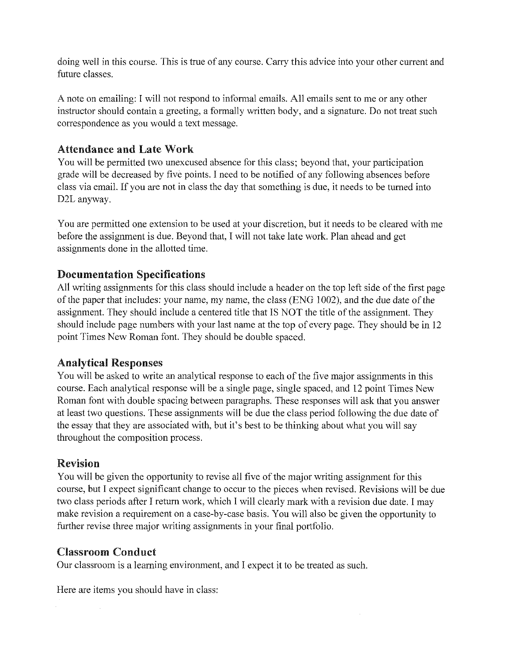doing well in this course. This is true of any course. Carry this advice into your other current and future classes.

A note on emailing: I will not respond to informal emails. All emails sent to me or any other instructor should contain a greeting, a formally written body, and a signature. Do not treat such correspondence as you would a text message.

# Attendance and Late Work

You will be permitted two unexcused absence for this class; beyond that, your participation grade will be decreased by five points. I need to be notified of any following absences before class via email. If you are not in class the day that something is due, it needs to be turned into D2L anyway.

You are permitted one extension to be used at your discretion, but it needs to be cleared with me before the assignment is due. Beyond that, I will not take late work. Plan ahead and get assignments done in the allotted time.

# Documentation Specifications

All writing assignments for this class should include a header on the top left side of the first page of the paper that includes: your name, my name, the class (ENG 1002), and the due date of the assignment. They should include a centered title that IS NOT the title of the assignment. They should include page numbers with your last name at the top of every page. They should be in 12 point Times New Roman font. They should be double spaced.

# Analytical Responses

You will be asked to write an analytical response to each of the five major assignments in this course. Each analytical response will be a single page, single spaced, and 12 point Times New Roman font with double spacing between paragraphs. These responses will ask that you answer at least two questions. These assignments will be due the class period following the due date of the essay that they are associated with, but it's best to be thinking about what you will say throughout the composition process.

# Revision

You will be given the opportunity to revise all five of the major writing assignment for this course, but I expect significant change to occur to the pieces when revised. Revisions will be due two class periods after I return work, which I will clearly mark with a revision due date. I may make revision a requirement on a case-by-case basis. You will also be given the opportunity to further revise three major writing assignments in your final portfolio.

# Classroom Conduct

Our classroom is a learning environment, and I expect it to be treated as such.

Here are items you should have in class: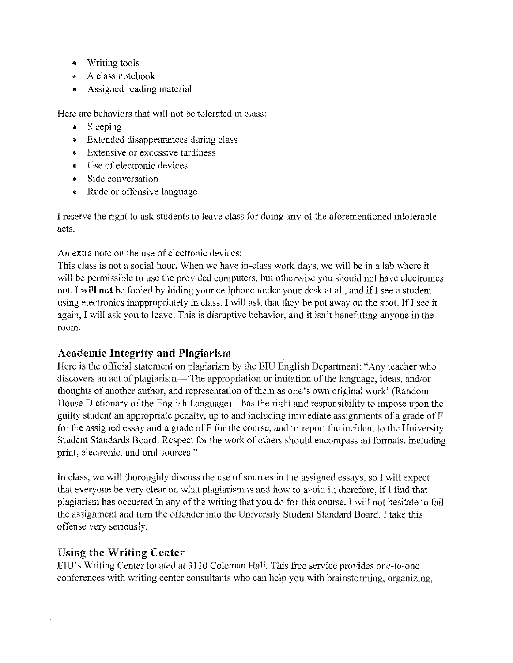- Writing tools
- A class notebook
- Assigned reading material

Here are behaviors that will not be tolerated in class:

- Sleeping
- Extended disappearances during class
- Extensive or excessive tardiness
- Use of electronic devices
- Side conversation
- Rude or offensive language

I reserve the right to ask students to leave class for doing any of the aforementioned intolerable acts.

An extra note on the use of electronic devices:

This class is not a social hour. When we have in-class work days, we will be in a lab where it will be permissible to use the provided computers, but otherwise you should not have electronics out. I will not be fooled by hiding your cellphone under your desk at all, and ifI see a student using electronics inappropriately in class, I will ask that they be put away on the spot. lfI see it again, I will ask you to leave. This is disruptive behavior, and it isn't benefitting anyone in the room.

# Academic Integrity and Plagiarism

Here is the official statement on plagiarism by the EIU English Department: "Any teacher who discovers an act of plagiarism—' The appropriation or imitation of the language, ideas, and/or thoughts of another author, and representation of them as one's own original work' (Random House Dictionary of the English Language)—has the right and responsibility to impose upon the guilty student an appropriate penalty, up to and including immediate assignments of a grade of F for the assigned essay and a grade of F for the course, and to report the incident to the University Student Standards Board. Respect for the work of others should encompass all formats, including print, electronic, and oral sources."

In class, we will thoroughly discuss the use of sources in the assigned essays, so I will expect that everyone be very clear on what plagiarism is and how to avoid it; therefore, if I find that plagiarism has occurred in any of the writing that you do for this course, I will not hesitate to fail the assignment and tum the offender into the University Student Standard Board. I take this offense very seriously.

# Using the Writing Center

EIU's Writing Center located at 3110 Coleman Hall. This free service provides one-to-one conferences with writing center consultants who can help you with brainstorming, organizing,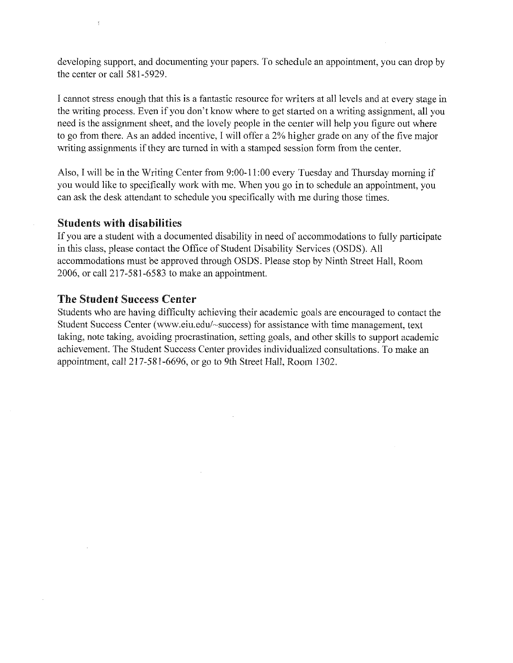developing support, and documenting your papers. To schedule an appointment, you can drop by the center or call 581-5929.

I cannot stress enough that this is a fantastic resource for writers at all levels and at every stage in the writing process. Even if you don't know where to get started on a writing assignment, all you need is the assignment sheet, and the lovely people in the center will help you figure out where to go from there. As an added incentive, I will offer a 2% higher grade on any of the five major writing assignments if they are turned in with a stamped session form from the center.

Also, I will be in the Writing Center from 9:00-11 :00 every Tuesday and Thursday morning if you would like to specifically work with me. When you go in to schedule an appointment, you can ask the desk attendant to schedule you specifically with me during those times.

# Students with disabilities

If you are a student with a documented disability in need of accommodations to fully participate in this class, please contact the Office of Student Disability Services (OSDS). All accommodations must be approved through OSDS. Please stop by Ninth Street Hall, Room 2006, or call 217-581-6583 to make an appointment.

# The Student Success Center

Students who are having difficulty achieving their academic goals are encouraged to contact the Student Success Center (www.eiu.edu/-success) for assistance with time management, text taking, note taking, avoiding procrastination, setting goals, and other skills to support academic achievement. The Student Success Center provides individualized consultations. To make an appointment, call 217-581-6696, or go to 9th Street Hall, Room 1302.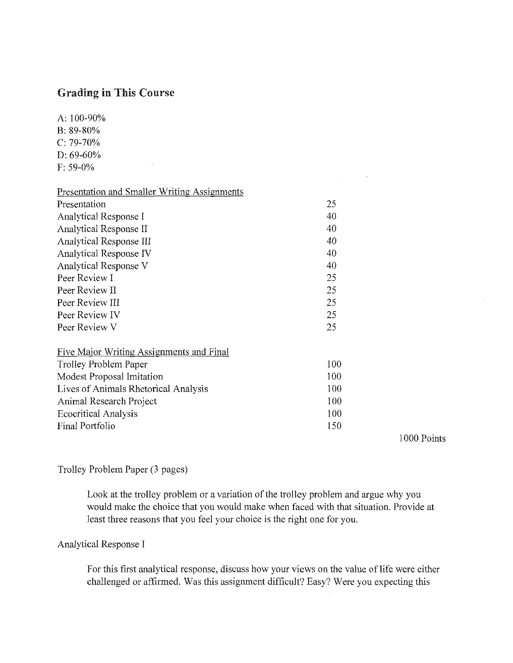# Grading in This Course

 $\sim$ 

A: 100-90% B: 89-80% C: 79-70% D: 69-60% F: 59-0%

| <b>Presentation and Smaller Writing Assignments</b> |     |
|-----------------------------------------------------|-----|
| Presentation                                        | 25  |
| Analytical Response I                               | 40  |
| Analytical Response II                              | 40  |
| Analytical Response III                             | 40  |
| Analytical Response IV                              | 40  |
| <b>Analytical Response V</b>                        | 40  |
| Peer Review I                                       | 25  |
| Peer Review II                                      | 25  |
| Peer Review III                                     | 25  |
| Peer Review IV                                      | 25  |
| Peer Review V                                       | 25  |
| Five Major Writing Assignments and Final            |     |
| <b>Trolley Problem Paper</b>                        | 100 |
| Modest Proposal Imitation                           | 100 |
| Lives of Animals Rhetorical Analysis                | 100 |
| Animal Research Project                             | 100 |
| <b>Ecocritical Analysis</b>                         | 100 |
| Final Portfolio                                     | 150 |

1000 Points

 $\mathcal{L}(\mathcal{L}^{\text{max}})$  and  $\mathcal{L}(\mathcal{L}^{\text{max}})$ 

# Trolley Problem Paper (3 pages)

Look at the trolley problem or a variation of the trolley problem and argue why you would make the choice that you would make when faced with that situation. Provide at least three reasons that you feel your choice is the right one for you.

# Analytical Response I

For this first analytical response, discuss how your views on the value of life were either challenged or affirmed. Was this assignment difficult? Easy? Were you expecting this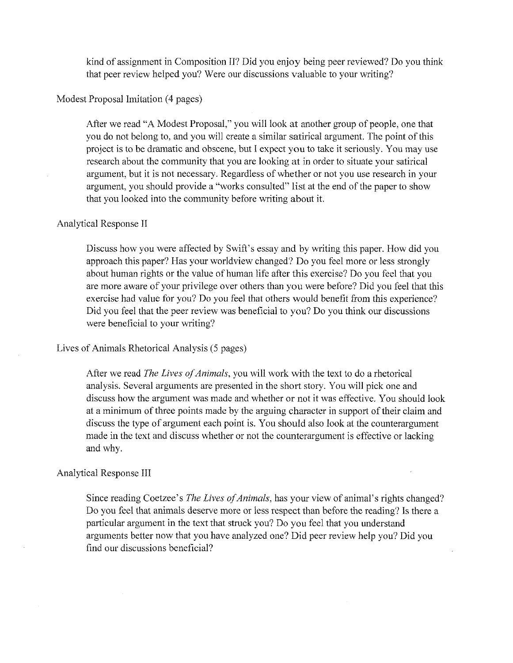kind of assignment in Composition II? Did you enjoy being peer reviewed? Do you think that peer review helped you? Were our discussions valuable to your writing?

Modest Proposal Imitation (4 pages)

After we read "A Modest Proposal," you will look at another group of people, one that you do not belong to, and you will create a similar satirical argument. The point of this project is to be dramatic and obscene, but I expect you to take it seriously. You may use research about the community that you are looking at in order to situate your satirical argument, but it is not necessary. Regardless of whether or not you use research in your argument, you should provide a "works consulted" list at the end of the paper to show that you looked into the community before writing about it.

#### Analytical Response II

Discuss how you were affected by Swift's essay and by writing this paper. How did you approach this paper? Has your worldview changed? Do you feel more or less strongly about human rights or the value of human life after this exercise? Do you feel that you are more aware of your privilege over others than you were before? Did you feel that this exercise had value for you? Do you feel that others would benefit from this experience? Did you feel that the peer review was beneficial to you? Do you think our discussions were beneficial to your writing?

#### Lives of Animals Rhetorical Analysis (5 pages)

After we read *The Lives of Animals,* you will work with the text to do a rhetorical analysis. Several arguments are presented in the short story. You will pick one and discuss how the argument was made and whether or not it was effective. You should look at a minimum of three points made by the arguing character in support of their claim and discuss the type of argument each point is. You should also look at the counterargument made in the text and discuss whether or not the counterargument is effective or lacking and why.

#### Analytical Response III

Since reading Coetzee's *The Lives of Animals,* has your view of animal's rights changed? Do you feel that animals deserve more or less respect than before the reading? Is there a particular argument in the text that struck you? Do you feel that you understand arguments better now that you have analyzed one? Did peer review help you? Did you find our discussions beneficial?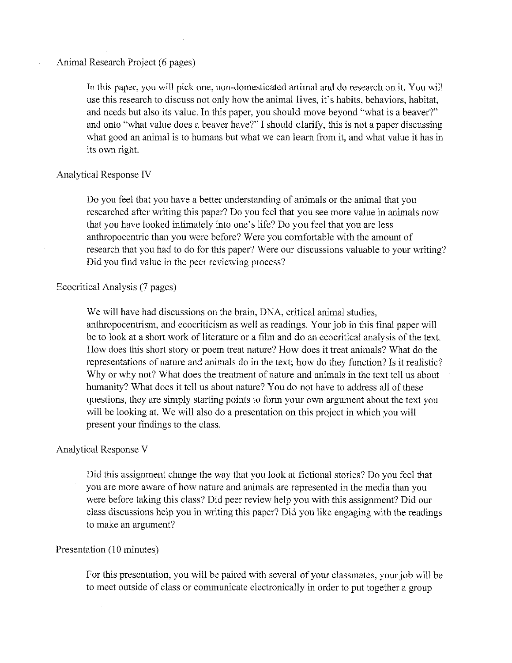# Animal Research Project (6 pages)

In this paper, you will pick one, non-domesticated animal and do research on it. You will use this research to discuss not only how the animal lives, it's habits, behaviors, habitat, and needs but also its value. In this paper, you should move beyond "what is a beaver?" and onto "what value does a beaver have?" I should clarify, this is not a paper discussing what good an animal is to humans but what we can learn from it, and what value it has in its own right.

#### Analytical Response IV

Do you feel that you have a better understanding of animals or the animal that you researched after writing this paper? Do you feel that you see more value in animals now that you have looked intimately into one's life? Do you feel that you are less anthropocentric than you were before? Were you comfortable with the amount of research that you had to do for this paper? Were our discussions valuable to your writing? Did you find value in the peer reviewing process?

## Ecocritical Analysis (7 pages)

We will have had discussions on the brain, DNA, critical animal studies, anthropocentrism, and ecocriticism as well as readings. Your job in this final paper will be to look at a short work of literature or a film and do an ecocritical analysis of the text. How does this short story or poem treat nature? How does it treat animals? What do the representations of nature and animals do in the text; how do they function? Is it realistic? Why or why not? What does the treatment of nature and animals in the text tell us about humanity? What does it tell us about nature? You do not have to address all of these questions, they are simply starting points to form your own argument about the text you will be looking at. We will also do a presentation on this project in which you will present your findings to the class.

#### Analytical Response V

Did this assignment change the way that you look at fictional stories? Do you feel that you are more aware of how nature and animals are represented in the media than you were before taking this class? Did peer review help you with this assignment? Did our class discussions help you in writing this paper? Did you like engaging with the readings to make an argument?

#### Presentation (10 minutes)

For this presentation, you will be paired with several of your classmates, your job will be to meet outside of class or communieate electronically in order to put together a group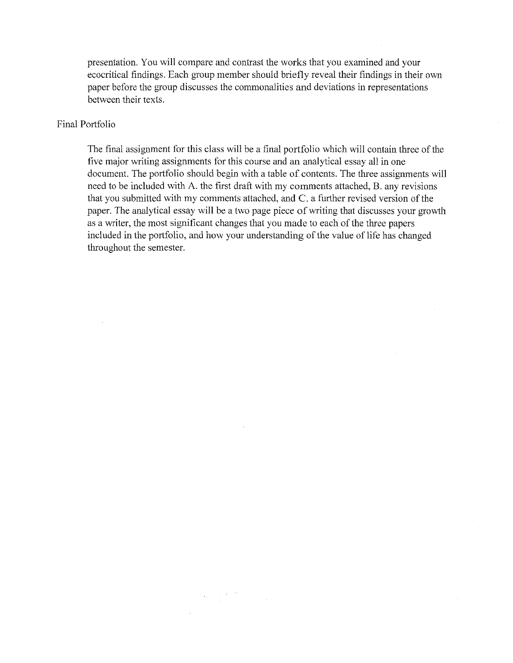presentation. You will compare and contrast the works that you examined and your ecocritical findings. Each group member should briefly reveal their findings in their own paper before the group discusses the commonalities and deviations in representations between their texts.

#### Final Portfolio

The final assignment for this class will be a final portfolio which will contain three of the five major writing assignments for this course and an analytical essay all in one document. The portfolio should begin with a table of contents. The three assignments will need to be included with A. the first draft with my comments attached, B. any revisions that you submitted with my comments attached, and C. a further revised version of the paper. The analytical essay will be a two page piece of writing that discusses your growth as a writer, the most significant changes that you made to each of the three papers included in the portfolio, and how your understanding of the value of life has changed throughout the semester.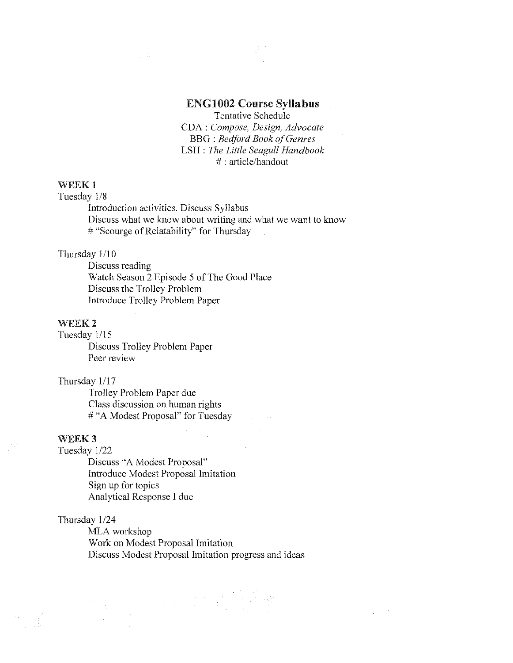# ENG1002 Course Syllabus

Tentative Schedule CDA : *Compose, Design, Advocate*  BBG : *Bedford Book of Genres*  LSH : *The Little Seagull Handbook*  # : article/handout

## WEEK<sub>1</sub>

Tuesday 1/8

Introduction activities. Discuss Syllabus Discuss what we know about writing and what we want to know # "Scourge of Relatability" for Thursday

## Thursday  $1/10$

Discuss reading Watch Season 2 Episode 5 of The Good Place Discuss the Trolley Problem Introduce Trolley Problem Paper

 $\label{eq:2.1} \frac{1}{2\pi\epsilon^2}\frac{1}{2\pi\epsilon^2}\left(\frac{1}{2\pi\epsilon^2}\right)^2\left(\frac{1}{2\pi\epsilon^2}\right)^2\left(\frac{1}{2\pi\epsilon^2}\right)^2\left(\frac{1}{2\pi\epsilon^2}\right)^2\left(\frac{1}{2\pi\epsilon^2}\right)^2.$ 

#### WEEK<sub>2</sub>

Tuesday 1/15

Discuss Trolley Problem Paper Peer review

#### Thursday 1/17

Trolley Problem Paper due Class discussion on human rights # "A Modest Proposal" for Tuesday

#### WEEK<sub>3</sub>

Tuesday 1/22

Discuss "A Modest Proposal" Introduce Modest Proposal Imitation Sign up for topics Analytical Response I due

#### Thursday 1/24

MLA workshop Work on Modest Proposal Imitation Discuss Modest Proposal Imitation progress and ideas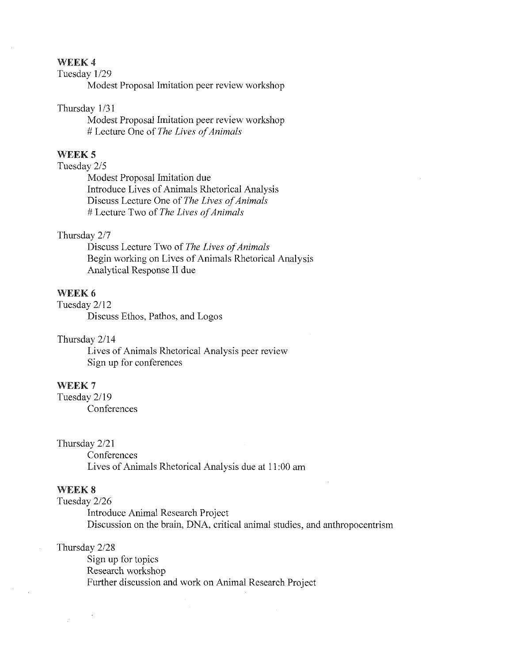# WEEK4

## Tuesday l/29

Modest Proposal Imitation peer review workshop

#### Thursday 1/31

Modest Proposal Imitation peer review workshop # Lecture One of *The Lives of Animals* 

## WEEK<sub>5</sub>

# Tuesday 2/5

Modest Proposal Imitation due Introduce Lives of Animals Rhetorical Analysis Discuss Lecture One of *The Lives of Animals*  # Lecture Two of *The Lives of Animals* 

#### Thursday 2/7

Discuss Lecture Two of *The Lives of Animals*  Begin working on Lives of Animals Rhetorical Analysis Analytical Response II due

# WEEK<sub>6</sub>

Tuesday 2/12 Discuss Ethos, Pathos, and Logos

#### Thursday 2/14

Lives of Animals Rhetorical Analysis peer review Sign up for conferences

## WEEK 7

Tuesday 2/19

**Conferences** 

#### Thursday 2/21

**Conferences** Lives of Animals Rhetorical Analysis due at 11 :00 am

#### WEEK<sub>8</sub>

Tuesday 2/26

Introduce Animal Research Project Discussion on the brain, DNA, critical animal studies, and anthropocentrism

#### Thursday 2/28

Sign up for topics Research workshop Further discussion and work on Animal Research Project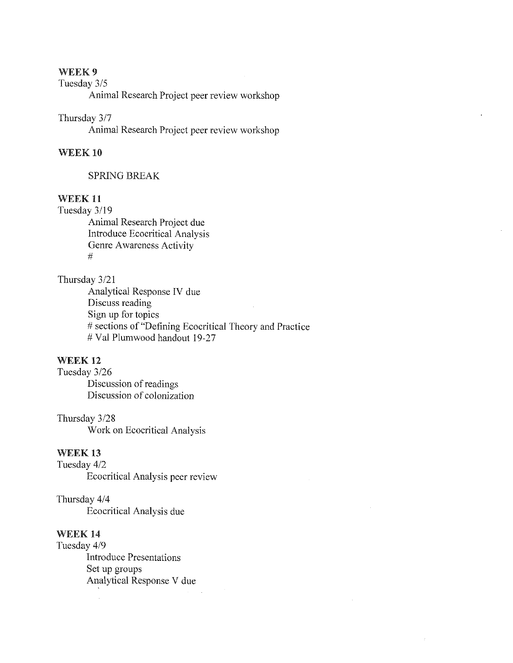## WEEK9

# Tuesday 3/5

Animal Research Project peer review workshop

#### Thursday 3/7

Animal Research Project peer review workshop

## WEEK 10

#### SPRING BREAK

## WEEK<sub>11</sub>

Tuesday 3/19

Animal Research Project due Introduce Ecocritical Analysis Genre Awareness Activity #

#### Thursday 3/21

Analytical Response IV due Discuss reading Sign up for topics # sections of "Defining Ecocritical Theory and Practice # Val Plumwood handout 19-27

# WEEK<sub>12</sub>

Tuesday 3/26 Discussion of readings Discussion of colonization

Thursday 3/28 Work on Ecocritical Analysis

#### WEEK<sub>13</sub>

Tuesday 4/2 Ecocritical Analysis peer review

Thursday 4/4 Ecocritical Analysis due

# WEEK<sub>14</sub>

Tuesday 4/9 Introduce Presentations Set up groups Analytical Response V due